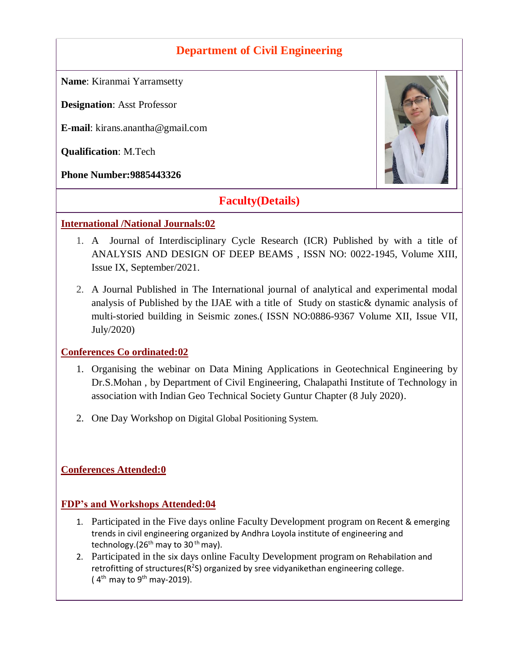## **Department of Civil Engineering**

**Name**: Kiranmai Yarramsetty

**Designation**: Asst Professor

**E-mail**: kirans.anantha@gmail.com

**Qualification**: M.Tech

**Phone Number:9885443326**



# **Faculty(Details)**

#### **International /National Journals:02**

- 1. A Journal of Interdisciplinary Cycle Research (ICR) Published by with a title of ANALYSIS AND DESIGN OF DEEP BEAMS , ISSN NO: 0022-1945, Volume XIII, Issue IX, September/2021.
- 2. A Journal Published in The International journal of analytical and experimental modal analysis of Published by the IJAE with a title of Study on stastic& dynamic analysis of multi-storied building in Seismic zones.( ISSN NO:0886-9367 Volume XII, Issue VII, July/2020)

#### **Conferences Co ordinated:02**

- 1. Organising the webinar on Data Mining Applications in Geotechnical Engineering by Dr.S.Mohan , by Department of Civil Engineering, Chalapathi Institute of Technology in association with Indian Geo Technical Society Guntur Chapter (8 July 2020).
- 2. One Day Workshop on Digital Global Positioning System.

#### **Conferences Attended:0**

#### **FDP's and Workshops Attended:04**

- 1. Participated in the Five days online Faculty Development program on Recent & emerging trends in civil engineering organized by Andhra Loyola institute of engineering and technology. $(26<sup>th</sup>$  may to 30<sup>th</sup> may).
- 2. Participated in the six days online Faculty Development program on Rehabilation and retrofitting of structures( $R^2$ S) organized by sree vidyanikethan engineering college. ( $4<sup>th</sup>$  may to  $9<sup>th</sup>$  may-2019).